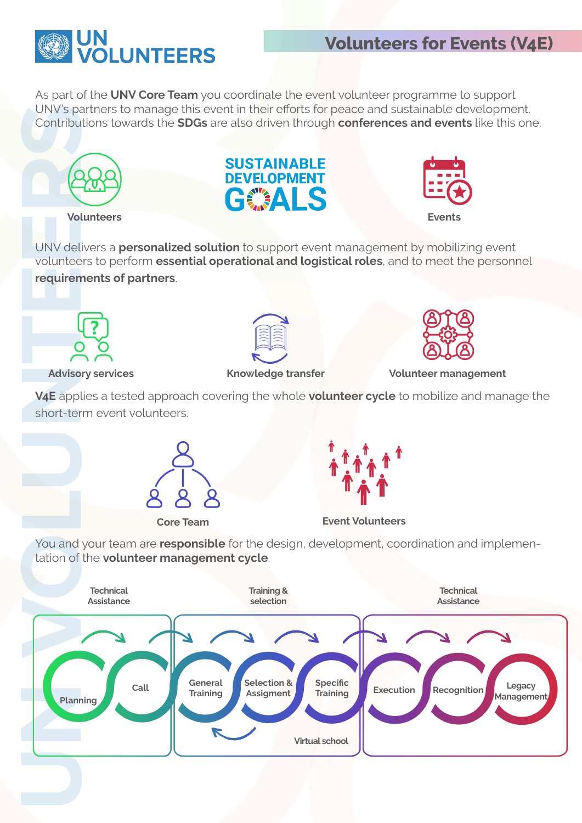

## **Volunteers for Events (V4E)**

As part of the **UNV Core Team** you coordinate the event volunteer programme to support UNV's partners to manage this event in their efforts for peace and sustainable development. Contributions towards the **SDGs** are also driven through **conferences and events** like this one.







UNV delivers a **personalized solution** to support event management by mobilizing event volunteers to perform **essential operational and logistical roles**, and to meet the personnel **requirements of partners**.



**Advisory services**





**Knowledge transfer Volunteer management**

**V4E** applies a tested approach covering the whole **volunteer cycle** to mobilize and manage the short-term event volunteers.





**Core Team Event Volunteers**

You and your team are **responsible** for the design, development, coordination and implementation of the **volunteer management cycle**.